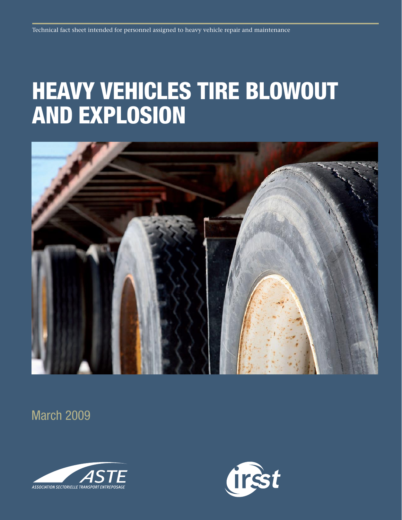# Heavy vehicles tire blowout and explosion



March 2009



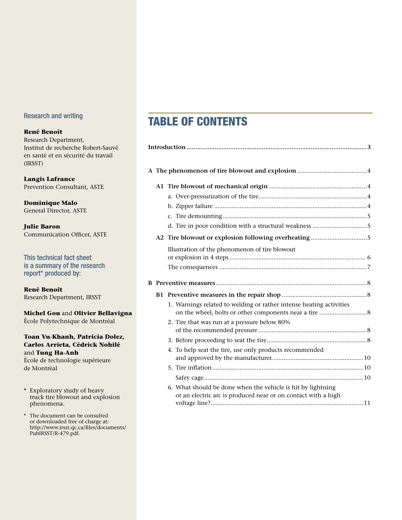#### Research and writing

#### **René Benoît**

Research Department, Institut de recherche Robert-Sauvé en santé et en sécurité du travail (IRSST)

**Langis Lafrance** Prevention Consultant, ASTE

**Dominique Malo** General Director, ASTE

**Julie Baron** Communication Officer, ASTE

This technical fact sheet is a summary of the research report\* produced by:

**René Benoît** Research Department, IRSST

**Michel Gou** and **Olivier Bellavigna** École Polytechnique de Montréal

#### **Toan Vu-Khanh, Patricia Dolez, Carlos Arrieta, Cédrick Nohilé** and **Tung Ha-Anh**

École de technologie supérieure de Montréal

- \* Exploratory study of heavy truck tire blowout and explosion phenomena.
- \* The document can be consulted or downloaded free of charge at: http://www.irsst.qc.ca/files/documents/ PubIRSST/R-479.pdf.

# Table of contents

|  |  | Illustration of the phenomenon of tire blowout                                                                               |  |
|--|--|------------------------------------------------------------------------------------------------------------------------------|--|
|  |  |                                                                                                                              |  |
|  |  |                                                                                                                              |  |
|  |  |                                                                                                                              |  |
|  |  | 1. Warnings related to welding or rather intense heating activities                                                          |  |
|  |  | 2. Tire that was run at a pressure below 80%                                                                                 |  |
|  |  |                                                                                                                              |  |
|  |  | 4. To help seat the tire, use only products recommended                                                                      |  |
|  |  |                                                                                                                              |  |
|  |  |                                                                                                                              |  |
|  |  | 6. What should be done when the vehicle is hit by lightning<br>or an electric arc is produced near or on contact with a high |  |
|  |  |                                                                                                                              |  |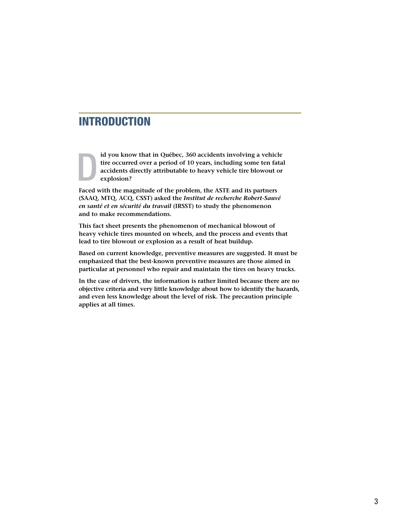## INTRODUCTION

**id you know that in Québec, 360 accidents involving a vehicle tire occurred over a period of 10 years, including some ten fatal accidents directly attributable to heavy vehicle tire blowout or explosion?** D

**Faced with the magnitude of the problem, the ASTE and its partners (SAAQ, MTQ, ACQ, CSST) asked the** *Institut de recherche Robert-Sauvé en santé et en sécurité du travail* **(IRSST) to study the phenomenon and to make recommendations.**

**This fact sheet presents the phenomenon of mechanical blowout of heavy vehicle tires mounted on wheels, and the process and events that lead to tire blowout or explosion as a result of heat buildup.** 

**Based on current knowledge, preventive measures are suggested. It must be emphasized that the best-known preventive measures are those aimed in particular at personnel who repair and maintain the tires on heavy trucks.**

**In the case of drivers, the information is rather limited because there are no objective criteria and very little knowledge about how to identify the hazards, and even less knowledge about the level of risk. The precaution principle applies at all times.**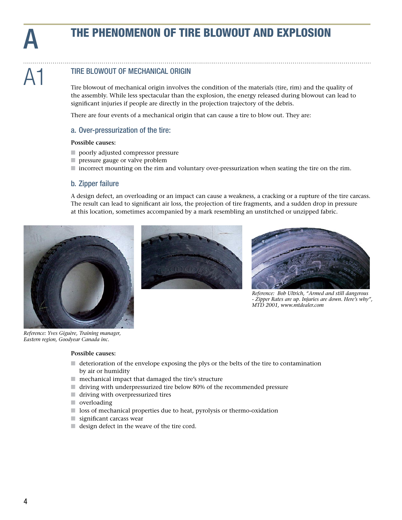# THE PHENOMENON OF TIRE BLOWOUT AND EXPLOSION

#### TIRE BLOWOUT OF MECHANICAL ORIGIN A1

Tire blowout of mechanical origin involves the condition of the materials (tire, rim) and the quality of the assembly. While less spectacular than the explosion, the energy released during blowout can lead to significant injuries if people are directly in the projection trajectory of the debris.

There are four events of a mechanical origin that can cause a tire to blow out. They are:

#### a. Over-pressurization of the tire:

#### **Possible causes:**

- $\Box$  poorly adjusted compressor pressure
- $\blacksquare$  pressure gauge or valve problem
- n incorrect mounting on the rim and voluntary over-pressurization when seating the tire on the rim.

#### b. Zipper failure

A design defect, an overloading or an impact can cause a weakness, a cracking or a rupture of the tire carcass. The result can lead to significant air loss, the projection of tire fragments, and a sudden drop in pressure at this location, sometimes accompanied by a mark resembling an unstitched or unzipped fabric.





*Reference: Bob Ultrich, "Armed and still dangerous - Zipper Rates are up. Injuries are down. Here's why", MTD 2001, www.mtdealer.com*

*Reference: Yves Giguère, Training manager, Eastern region, Goodyear Canada inc.* 

#### **Possible causes:**

- $\Box$  deterioration of the envelope exposing the plys or the belts of the tire to contamination by air or humidity
- $\blacksquare$  mechanical impact that damaged the tire's structure
- n driving with underpressurized tire below 80% of the recommended pressure
- $\blacksquare$  driving with overpressurized tires
- $\blacksquare$  overloading
- $\Box$  loss of mechanical properties due to heat, pyrolysis or thermo-oxidation
- $\blacksquare$  significant carcass wear
- $\blacksquare$  design defect in the weave of the tire cord.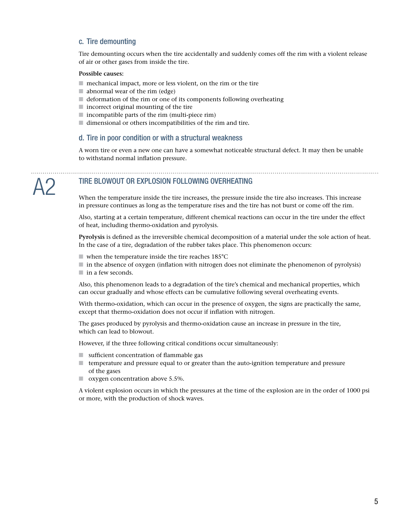#### c. Tire demounting

Tire demounting occurs when the tire accidentally and suddenly comes off the rim with a violent release of air or other gases from inside the tire.

#### **Possible causes:**

- $\blacksquare$  mechanical impact, more or less violent, on the rim or the tire
- $\blacksquare$  abnormal wear of the rim (edge)
- $\blacksquare$  deformation of the rim or one of its components following overheating
- $\blacksquare$  incorrect original mounting of the tire
- $\blacksquare$  incompatible parts of the rim (multi-piece rim)
- $\blacksquare$  dimensional or others incompatibilities of the rim and tire.

#### d. Tire in poor condition or with a structural weakness

A worn tire or even a new one can have a somewhat noticeable structural defect. It may then be unable to withstand normal inflation pressure.

#### TIRE BLOWOUT OR EXPLOSION FOLLOWING OVERHEATING A2

When the temperature inside the tire increases, the pressure inside the tire also increases. This increase in pressure continues as long as the temperature rises and the tire has not burst or come off the rim.

Also, starting at a certain temperature, different chemical reactions can occur in the tire under the effect of heat, including thermo-oxidation and pyrolysis.

**Pyrolysis** is defined as the irreversible chemical decomposition of a material under the sole action of heat. In the case of a tire, degradation of the rubber takes place. This phenomenon occurs:

- $\blacksquare$  when the temperature inside the tire reaches 185°C
- $\blacksquare$  in the absence of oxygen (inflation with nitrogen does not eliminate the phenomenon of pyrolysis)  $\blacksquare$  in a few seconds.

Also, this phenomenon leads to a degradation of the tire's chemical and mechanical properties, which can occur gradually and whose effects can be cumulative following several overheating events.

With thermo-oxidation, which can occur in the presence of oxygen, the signs are practically the same, except that thermo-oxidation does not occur if inflation with nitrogen.

The gases produced by pyrolysis and thermo-oxidation cause an increase in pressure in the tire, which can lead to blowout.

However, if the three following critical conditions occur simultaneously:

- $\blacksquare$  sufficient concentration of flammable gas
- $\blacksquare$  temperature and pressure equal to or greater than the auto-ignition temperature and pressure of the gases
- $\Box$  oxygen concentration above 5.5%.

A violent explosion occurs in which the pressures at the time of the explosion are in the order of 1000 psi or more, with the production of shock waves.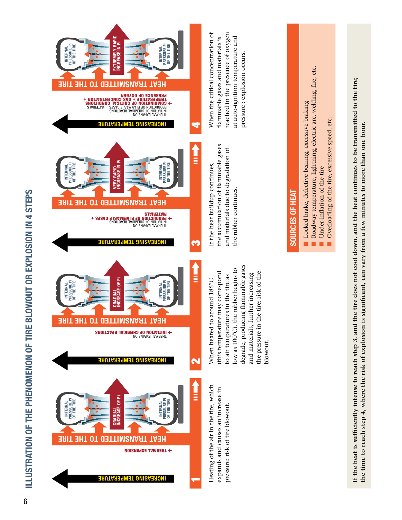

Heating of the air in the tire, which Heating of the air in the tire, which expands and causes an increase in expands and causes an increase in pressure: risk of tire blowout. pressure: risk of tire blowout.

degrade, producing flammable gases degrade, producing flammable gases low as 100°C), the rubber begins to low as 100°C), the rubber begins to (this temperature may correspond the pressure in the tire: risk of tire (this temperature may correspond the pressure in the tire: risk of tire and materials, further increasing and materials, further increasing to air temperatures in the tire as to air temperatures in the tire as When heated to around 185°C When heated to around 185°C blowout. blowout.

the rubber continues.

the rubber continues.



**INTERNAL PRESSURE Pi OF THE TIRE**

INTERNAL<br>PRESSURE PI<br>OF THE TIRE

EXTREMELY RAPID<br>NCREASE IN Pi **EXTREMELY RAPID INCREASE IN Pi** INTERNAL<br>PRESSURE PI<br>OF THE TIRE **PRESSURE Pi OF THE TIRE INTERNAL EAT TRAUSMATTED TO THE TIRE HEAT BEREMCE OF OXYGEN<br>- ION DEMICAL DE FLAMMABLE CONCENTRATION +<br>- ION DE TRANSION DE CRITICAL CONDITIONS<br>- INSIDERIAL DE FLAMMABLE GASES + MATERIALS<br>- INERNAL EXPANSION<br>- INERNAL CREMISION NG TEMPERATURE I INCREAS** 4

When the critical concentration of reached in the presence of oxygen When the critical concentration of reached in the presence of oxygen at auto-ignition temperature and flammable gases and materials is flammable gases and materials is at auto-ignition temperature and pressure: explosion occurs. pressure : explosion occurs.

If the heat buildup continues, the accumulation of flammable gases and materials due to degradation of

If the heat buildup continues,

I

the accumulation of flammable gases and materials due to degradation of

# **SOURCES OF HEAT** SOURCES OF HEAT

- Locked brake, defective bearing, excessive braking Locked brake, defective bearing, excessive braking
- Roadway temperature, lightning, electric arc, welding, fire, etc. Roadway temperature, lightning, electric arc, welding, fire, etc.
	- Under-inflation of the tire Under-inflation of the tire
- Overloading of the tire, excessive speed, etc. Overloading of the tire, excessive speed, etc

If the heat is sufficiently intense to reach step 3, and the tire does not cool down, and the heat continues to be transmitted to the tire; **If the heat is sufficiently intense to reach step 3, and the tire does not cool down, and the heat continues to be transmitted to the tire;** the time to reach step 4, where the risk of explosion is significant, can vary from a few minutes to more than one hour. **the time to reach step 4, where the risk of explosion is significant, can vary from a few minutes to more than one hour.**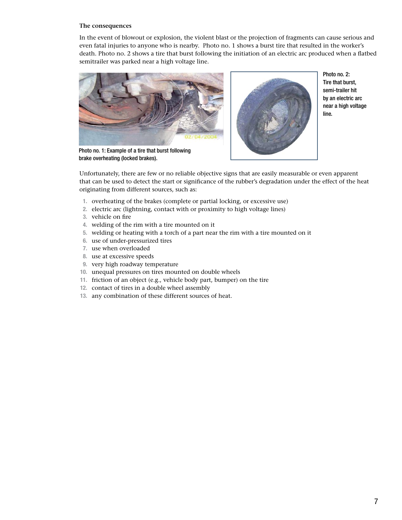#### **The consequences**

In the event of blowout or explosion, the violent blast or the projection of fragments can cause serious and even fatal injuries to anyone who is nearby. Photo no. 1 shows a burst tire that resulted in the worker's death. Photo no. 2 shows a tire that burst following the initiation of an electric arc produced when a flatbed semitrailer was parked near a high voltage line.



Photo no. 2: Tire that burst, semi-trailer hit by an electric arc near a high voltage line.

Photo no. 1: Example of a tire that burst following brake overheating (locked brakes).

Unfortunately, there are few or no reliable objective signs that are easily measurable or even apparent that can be used to detect the start or significance of the rubber's degradation under the effect of the heat originating from different sources, such as:

- **1.** overheating of the brakes (complete or partial locking, or excessive use)
- **2.** electric arc (lightning, contact with or proximity to high voltage lines)
- **3.** vehicle on fire
- **4.** welding of the rim with a tire mounted on it
- **5.** welding or heating with a torch of a part near the rim with a tire mounted on it
- **6.** use of under-pressurized tires
- **7.** use when overloaded
- **8.** use at excessive speeds
- **9.** very high roadway temperature
- **10.** unequal pressures on tires mounted on double wheels
- **11.** friction of an object (e.g., vehicle body part, bumper) on the tire
- **12.** contact of tires in a double wheel assembly
- **13.** any combination of these different sources of heat.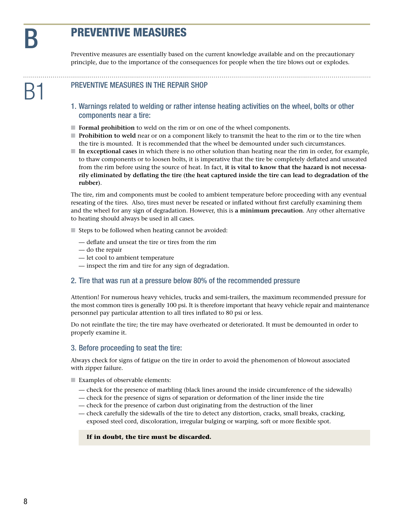# **PREVENTIVE MEASURES**

Preventive measures are essentially based on the current knowledge available and on the precautionary principle, due to the importance of the consequences for people when the tire blows out or explodes.

#### PREVENTIVE MEASURES IN THE REPAIR SHOP

- 1. Warnings related to welding or rather intense heating activities on the wheel, bolts or other components near a tire:
- **Formal prohibition** to weld on the rim or on one of the wheel components.
- **n <b>Prohibition to weld** near or on a component likely to transmit the heat to the rim or to the tire when the tire is mounted. It is recommended that the wheel be demounted under such circumstances.
- n **In exceptional cases** in which there is no other solution than heating near the rim in order, for example, to thaw components or to loosen bolts, it is imperative that the tire be completely deflated and unseated from the rim before using the source of heat. In fact, **it is vital to know that the hazard is not necessarily eliminated by deflating the tire (the heat captured inside the tire can lead to degradation of the rubber)**.

The tire, rim and components must be cooled to ambient temperature before proceeding with any eventual reseating of the tires. Also, tires must never be reseated or inflated without first carefully examining them and the wheel for any sign of degradation. However, this is **a minimum precaution**. Any other alternative to heating should always be used in all cases.

- $\blacksquare$  Steps to be followed when heating cannot be avoided:
	- deflate and unseat the tire or tires from the rim
	- do the repair
	- let cool to ambient temperature
	- inspect the rim and tire for any sign of degradation.

#### 2. Tire that was run at a pressure below 80% of the recommended pressure

Attention! For numerous heavy vehicles, trucks and semi-trailers, the maximum recommended pressure for the most common tires is generally 100 psi. It is therefore important that heavy vehicle repair and maintenance personnel pay particular attention to all tires inflated to 80 psi or less.

Do not reinflate the tire; the tire may have overheated or deteriorated. It must be demounted in order to properly examine it.

#### 3. Before proceeding to seat the tire:

Always check for signs of fatigue on the tire in order to avoid the phenomenon of blowout associated with zipper failure.

- $\blacksquare$  Examples of observable elements:
	- check for the presence of marbling (black lines around the inside circumference of the sidewalls)
	- check for the presence of signs of separation or deformation of the liner inside the tire
	- check for the presence of carbon dust originating from the destruction of the liner
	- check carefully the sidewalls of the tire to detect any distortion, cracks, small breaks, cracking, exposed steel cord, discoloration, irregular bulging or warping, soft or more flexible spot.

#### **If in doubt, the tire must be discarded.**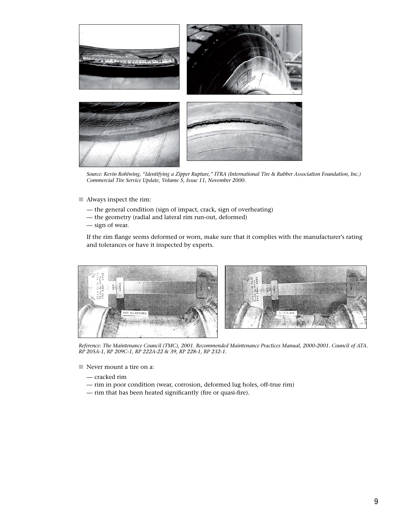

*Source: Kevin Rohlwing, "Identifying a Zipper Rupture," ITRA (International Tire & Rubber Association Foundation, Inc.) Commercial Tire Service Update, Volume 5, Issue 11, November 2000.*

- **n** Always inspect the rim:
	- the general condition (sign of impact, crack, sign of overheating)
	- the geometry (radial and lateral rim run-out, deformed)
	- sign of wear.

If the rim flange seems deformed or worn, make sure that it complies with the manufacturer's rating and tolerances or have it inspected by experts.



*Reference: The Maintenance Council (TMC), 2001. Recommended Maintenance Practices Manual, 2000-2001. Council of ATA. RP 205A-1, RP 209C-1, RP 222A-22 & 39, RP 228-1, RP 232-1.*

- $\blacksquare$  Never mount a tire on a:
	- cracked rim
	- rim in poor condition (wear, corrosion, deformed lug holes, off-true rim)
	- rim that has been heated significantly (fire or quasi-fire).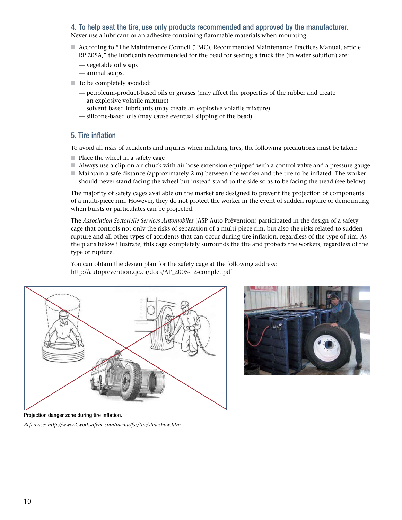### 4. To help seat the tire, use only products recommended and approved by the manufacturer.

Never use a lubricant or an adhesive containing flammable materials when mounting.

- n According to "The Maintenance Council (TMC), Recommended Maintenance Practices Manual, article RP 205A," the lubricants recommended for the bead for seating a truck tire (in water solution) are:
	- vegetable oil soaps
	- animal soaps.
- $\blacksquare$  To be completely avoided:
	- petroleum-product-based oils or greases (may affect the properties of the rubber and create an explosive volatile mixture)
	- solvent-based lubricants (may create an explosive volatile mixture)
	- silicone-based oils (may cause eventual slipping of the bead).

### 5. Tire inflation

To avoid all risks of accidents and injuries when inflating tires, the following precautions must be taken:

- $\blacksquare$  Place the wheel in a safety cage
- n Always use a clip-on air chuck with air hose extension equipped with a control valve and a pressure gauge
- $\blacksquare$  Maintain a safe distance (approximately 2 m) between the worker and the tire to be inflated. The worker should never stand facing the wheel but instead stand to the side so as to be facing the tread (see below).

The majority of safety cages available on the market are designed to prevent the projection of components of a multi-piece rim. However, they do not protect the worker in the event of sudden rupture or demounting when bursts or particulates can be projected.

The *Association Sectorielle Services Automobiles* (ASP Auto Prévention) participated in the design of a safety cage that controls not only the risks of separation of a multi-piece rim, but also the risks related to sudden rupture and all other types of accidents that can occur during tire inflation, regardless of the type of rim. As the plans below illustrate, this cage completely surrounds the tire and protects the workers, regardless of the type of rupture.

You can obtain the design plan for the safety cage at the following address: http://autoprevention.qc.ca/docs/AP\_2005-12-complet.pdf





Projection danger zone during tire inflation.

*Reference: http://www2.worksafebc.com/media/fss/tire/slideshow.htm*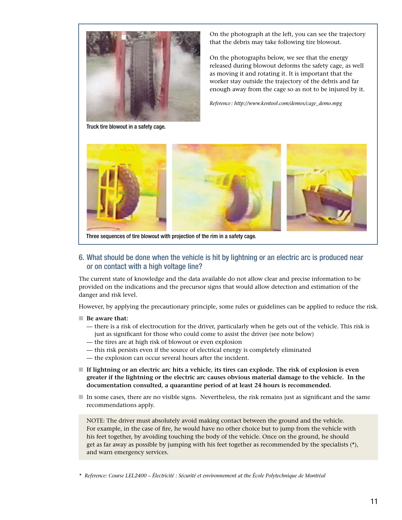

Truck tire blowout in a safety cage.

On the photograph at the left, you can see the trajectory that the debris may take following tire blowout.

On the photographs below, we see that the energy released during blowout deforms the safety cage, as well as moving it and rotating it. It is important that the worker stay outside the trajectory of the debris and far enough away from the cage so as not to be injured by it.

*Reference : http://www.kentool.com/demos/cage\_demo.mpg*



Three sequences of tire blowout with projection of the rim in a safety cage.

#### 6. What should be done when the vehicle is hit by lightning or an electric arc is produced near or on contact with a high voltage line?

The current state of knowledge and the data available do not allow clear and precise information to be provided on the indications and the precursor signs that would allow detection and estimation of the danger and risk level.

However, by applying the precautionary principle, some rules or guidelines can be applied to reduce the risk.

- Be aware that:
	- there is a risk of electrocution for the driver, particularly when he gets out of the vehicle. This risk is just as significant for those who could come to assist the driver (see note below)
	- the tires are at high risk of blowout or even explosion
	- this risk persists even if the source of electrical energy is completely eliminated
	- the explosion can occur several hours after the incident.
- **If lightning or an electric arc hits a vehicle, its tires can explode. The risk of explosion is even greater if the lightning or the electric arc causes obvious material damage to the vehicle. In the documentation consulted, a quarantine period of at least 24 hours is recommended.**
- n In some cases, there are no visible signs. Nevertheless, the risk remains just as significant and the same recommendations apply.

NOTE: The driver must absolutely avoid making contact between the ground and the vehicle. For example, in the case of fire, he would have no other choice but to jump from the vehicle with his feet together, by avoiding touching the body of the vehicle. Once on the ground, he should get as far away as possible by jumping with his feet together as recommended by the specialists (\*), and warn emergency services.

*\* Reference: Course LEL2400 – Électricité : Sécurité et environnement at the École Polytechnique de Montréal*